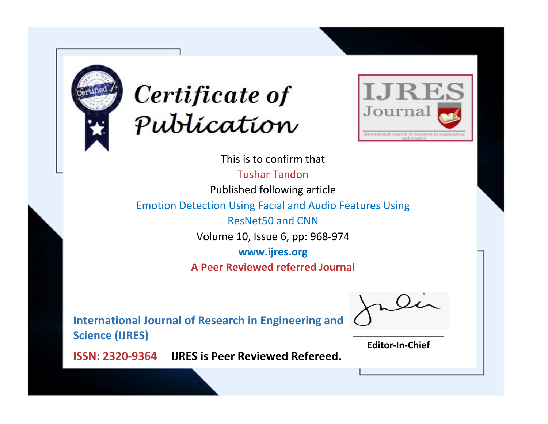



This is to confirm that Tushar Tandon Published following article Emotion Detection Using Facial and Audio Features Using ResNet50 and CNN Volume 10, Issue 6, pp: 968-974 **www.ijres.org A Peer Reviewed referred Journal**

**International Journal of Research in Engineering and Science (IJRES)**

\_\_\_\_\_\_\_\_\_\_\_\_\_\_\_\_\_\_\_\_\_\_\_\_ **Editor-In-Chief**

**Journal.**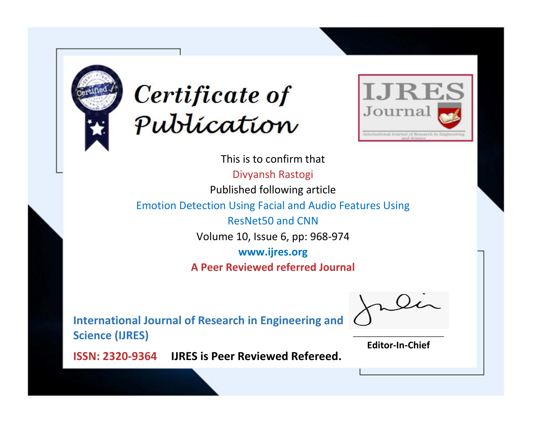



This is to confirm that Divyansh Rastogi Published following article Emotion Detection Using Facial and Audio Features Using ResNet50 and CNN Volume 10, Issue 6, pp: 968-974 **www.ijres.org A Peer Reviewed referred Journal**

**International Journal of Research in Engineering and Science (IJRES)**

\_\_\_\_\_\_\_\_\_\_\_\_\_\_\_\_\_\_\_\_\_\_\_\_ **Editor-In-Chief**

**Journal.**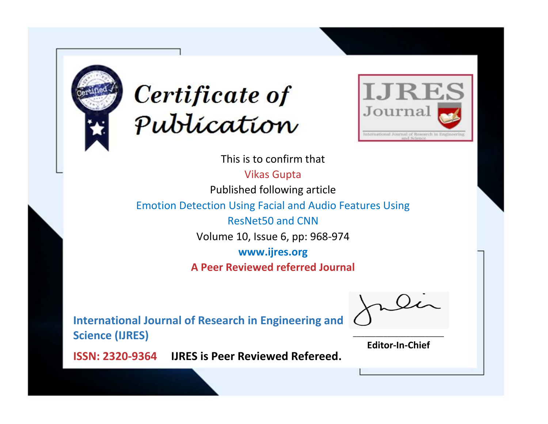



This is to confirm that Vikas Gupta Published following article Emotion Detection Using Facial and Audio Features Using ResNet50 and CNN Volume 10, Issue 6, pp: 968-974 **www.ijres.org A Peer Reviewed referred Journal**

**International Journal of Research in Engineering and Science (IJRES)**

\_\_\_\_\_\_\_\_\_\_\_\_\_\_\_\_\_\_\_\_\_\_\_\_ **Editor-In-Chief**

**Journal.**